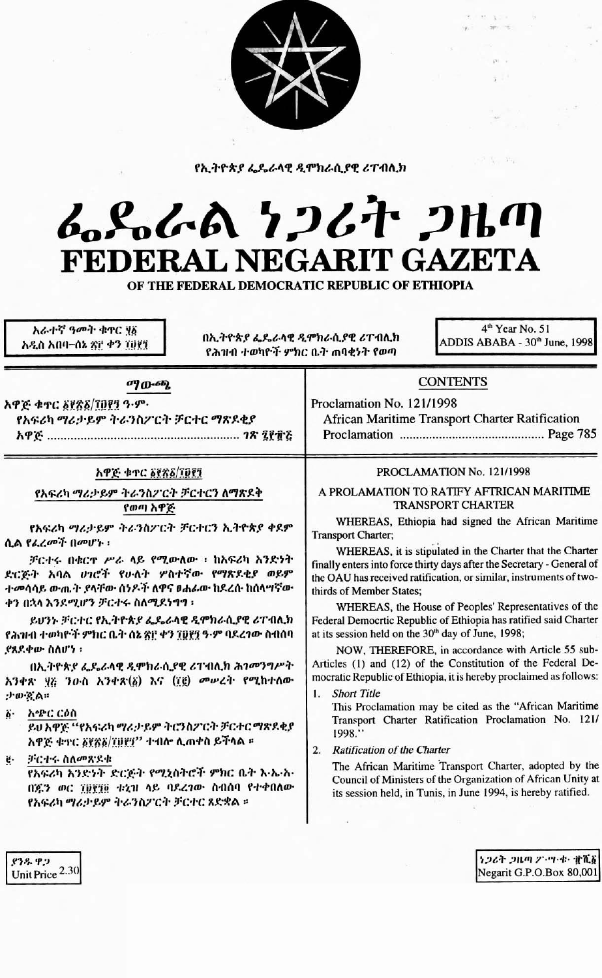

የኢትዮጵያ ፌዴራላዊ ዲሞክራሲያዊ ሪፐብሊክ

## んとんへ ケンムヤ フルの FEDERAL NEGARIT GAZETA

OF THE FEDERAL DEMOCRATIC REPUBLIC OF ETHIOPIA

አራተኛ ዓመት ቁተር ሃ፩ አዲስ አበባ–ሰኔ ጽ፫ ቀን ፲፱፻፺

በኢትዮጵያ ፌዴራላዊ ዲሞክራሲያዊ ሪፐብሊክ የሕዝብ ተወካዮች ምክር ቤት ጠባቂነት የወጣ

4<sup>th</sup> Year No. 51 ADDIS ABABA - 30th June, 1998

 $\sim 2\,M_{\odot}$  , and

| አዋጅ ቁጥር ፩፻ጽ፩/፲፱፻፺                              | PROCLAMATION No. 121/1998                                              |
|------------------------------------------------|------------------------------------------------------------------------|
| የአፍሪካ ማሪታይም ትራንስፖርት ቻርተርን ለማጽዶቅ                | A PROLAMATION TO RATIFY AFTRICAN MARITIME                              |
| የወጣ አዋጅ                                        | <b>TRANSPORT CHARTER</b>                                               |
| የአፍሪካ ማሪታይም ትራንስፖርት ቻርተርን ኢትዮጵያ ቀደም            | WHEREAS, Ethiopia had signed the African Maritime                      |
| ሲል የፌረመች በመሆኑ ፡                                | Transport Charter;                                                     |
| ቻርተሩ በቁርኖ ሥራ ላይ የሚውለው ፣ ከአፍሪካ አንድነት            | WHEREAS, it is stipulated in the Charter that the Charter              |
| ድርጅት አባል ሀገሮች የሁለት ሦስተኛው የማጽደቂያ ወይም            | finally enters into force thirty days after the Secretary - General of |
| ተመሳሳይ ውጤት ያላቸው ሰንዶች ለዋና ዐሐፊው ከደረሱ ከሰላሣኛው       | the OAU has received ratification, or similar, instruments of two-     |
| ቀን በኋላ እንደሚሆን ቻርተሩ ስለሚደነግግ ፡                   | thirds of Member States;                                               |
| ይህንኑ ቻርተር የኢትዮጵያ ፌዴራላዊ ዲሞክራሲያዊ ሪፐብሊክ           | WHEREAS, the House of Peoples' Representatives of the                  |
| የሕዝብ ተወካዮች ምክር ቤት ሰኔ ጽ፫ ቀን ፲፬፻፺ ዓ·ም ባደረገው ስብሰባ | Federal Democrtic Republic of Ethiopia has ratified said Charter       |
| ያጸደቀው ስለሆነ ፡                                   | at its session held on the 30 <sup>th</sup> day of June, 1998;         |
| በኢትዮጵያ ፌዴራላዊ ዲሞክራሲያዊ ሪፐብሊክ ሕገመንግሥት             | NOW, THEREFORE, in accordance with Article 55 sub-                     |
| አንቀጽ ፶፩ ንዑስ አንቀጽ(፩) እና (፲፪) መሥረት የሚከተለው        | Articles (1) and (12) of the Constitution of the Federal De-           |
| $: 1 \cdot 10 \cdot 9$ . A $::$                | mocratic Republic of Ethiopia, it is hereby proclaimed as follows:     |
| አጭር ርዕስ                                        | 1. Short Title                                                         |
| ö٠                                             | This Proclamation may be cited as the "African Maritime"               |
| ይህ አዋጅ ''የአፍሪካ ማሪታ ይም ትርንስፖርት ቻርተር ማጽዶቂያ       | Transport Charter Ratification Proclamation No. 121/                   |
| አዋጅ ቁተር ፩፻፳፩/፲፱፻፶'' ተብሎ ሲጠቀስ ይችላል ፡፡           | 1998."                                                                 |
| ቻርተሩ ስለመጽደቁ                                    | <b>Ratification of the Charter</b>                                     |
| ġ.                                             | 2.                                                                     |
| የአፍሪካ አንድነት ድርጅት የሚኒስትሮች ምክር ቤት እ-ኤ-አ-         | The African Maritime Transport Charter, adopted by the                 |
| በጁን ወር ፲፱፻፺፬ ቱኒግ ላይ ባደረገው ስብሰባ የተቀበለው          | Council of Ministers of the Organization of African Unity at           |
| የአፍሪካ ማሪታይም ትራንስፖርት ቻርተር ጸድቋል ።                | its session held, in Tunis, in June 1994, is hereby ratified.          |

ነ*ጋሪት ጋዜጣ ፖ*፦ሣ·ቁ· ፹ሺ፩ Negarit G.P.O.Box 80,001

ያንዱ ዋጋ Unit Price 2.30